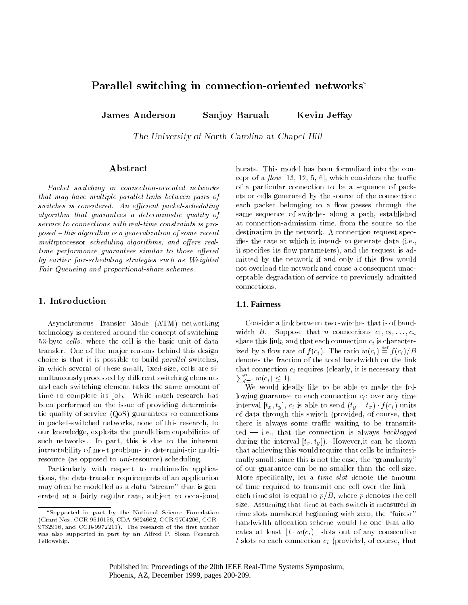# Parallel switching in connection-oriented networks

**James Anderson** Sanjoy Baruah Kevin Jeffay

The University of North Carolina at Chapel Hill

# Abstract

Packet switching in connection-oriented networks that may have multiple parallel links between pairs of switches is considered. An efficient packet-scheduling algorithm that guarantees a deterministic quality of service to connections with real-time constraints is pro $posed - this algorithm is a generalization of some recent$  $multiprocessor$  scheduling algorithms, and offers realtime performance guarantees similar to those offered by earlier fair-scheduling strategies such as Weighted Fair Queueing and proportional-share schemes.

# 1. Introduction

Asynchronous Transfer Mode (ATM) networking technology is centered around the concept of switching 53-byte cells, where the cell is the basic unit of data transfer. One of the major reasons behind this design choice is that it is possible to build *parallel* switches, in which several of these small, fixed-size, cells are simultaneously processed by different switching elements and each switching element takes the same amount of time to complete its job. While much research has been performed on the issue of providing deterministic quality of service (QoS) guarantees to connections in packet-switched networks, none of this research, to our knowledge, exploits the parallelism capabilities of such networks. In part, this is due to the inherent intractability of most problems in deterministic multiresource (as opposed to  $uni$ -resource) scheduling.

Particularly with respect to multimedia applications, the data-transfer requirements of an application may often be modelled as a data "stream" that is generated at a fairly regular rate, subject to occasional

bursts. This model has been formalized into the concept of a  $flow$  [13, 12, 5, 6], which considers the traffic of a particular connection to be a sequence of packets or cells generated by the source of the connection: each packet belonging to a flow passes through the same sequence of switches along a path, established at connection-admission time, from the source to the destination in the network. A connection request specifies the rate at which it intends to generate data (i.e., it specifies its flow parameters), and the request is admitted by the network if and only if this flow would not overload the network and cause a consequent unacceptable degradation of service to previously admitted connections.

### **1.1. Fairness**

Consider a link between two switches that is of bandwidth B. Suppose that *n* connections  $c_1, c_2, \ldots, c_n$ share this link, and that each connection  $c_i$  is characterized by a flow rate of  $f(c_i)$ . The ratio  $w(c_i) \equiv f(c_i)/B$ denotes the fraction of the total bandwidth on the link  $\mathcal{L}_{\mathbf{r}}$  requires (connection  $\mathcal{L}_{\mathbf{r}}$  requires that  $\mathcal{L}_{\mathbf{r}}$  are the connection of the connection of  $\mathcal{L}_{\mathbf{r}}$  $_{i=1}^{n} w(c_i) \leq 1$ .

We would ideally like to be able to make the following guarantee to each connection  $c_i$ : over any time interval  $[t_x, t_y]$ ,  $c_i$  is able to send  $(t_y - t_x) \cdot f(c_i)$  units of data through this switch (provided, of course, that there is always some traffic waiting to be transmit $ted - i.e., that the connection is always *backlogged*$ during the interval  $[t_x, t_y]$ . However, it can be shown that achieving this would require that cells be infinitesimally small: since this is not the case, the "granularity" of our guarantee can be no smaller than the cell-size. More specifically, let a *time slot* denote the amount of time required to transmit one cell over the link  $$ each time slot is equal to  $p/B$ , where p denotes the cell size. Assuming that time at each switch is measured in time slots numbered beginning with zero, the "fairest" bandwidth allocation scheme would be one that allocates at least  $|t \cdot w(c_i)|$  slots out of any consecutive t slots to each connection  $c_i$  (provided, of course, that

Supported in part by the National Science Foundation (Grant Nos. CCR-9510156, CDA-9624662, CCR-9704206, CCR- $9732916$ , and CCR-9972211). The research of the first author was also supported in part by an Alfred P. Sloan Research Fellowship.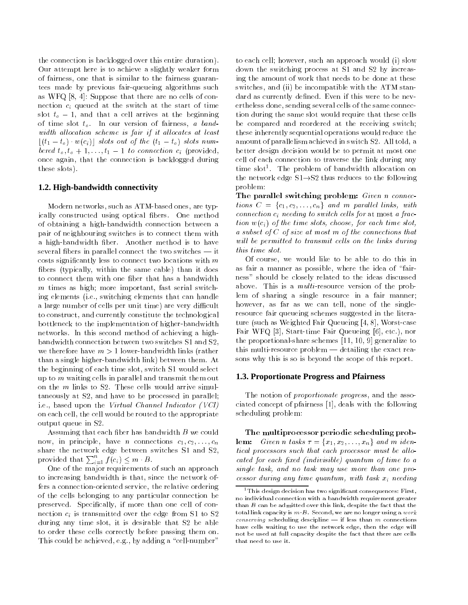the connection is backlogged over this entire duration). Our attempt here is to achieve a slightly weaker form of fairness, one that is similar to the fairness guarantees made by previous fair-queueing algorithms such as WFQ [8, 4]: Suppose that there are no cells of connection  $c_i$  queued at the switch at the start of time slot  $t_o - 1$ , and that a cell arrives at the beginning of time slot  $t_o$ . In our version of fairness, a bandwidth allocation scheme is fair if it allocates at least  $|(t_1 - t_o) \cdot w(c_i)|$  slots out of the  $(t_1 - t_o)$  slots numbered  $t_o, t_o + 1, \ldots, t_1 - 1$  to connection  $c_i$  (provided, once again, that the connection is backlogged during these slots).

### **1.2. High-bandwidth connectivity**

Modern networks, such as ATM-based ones, are typically constructed using optical bers. One method of obtaining a high-bandwidth connection between a pair of neighbouring switches is to connect them with a high-bandwidth ber. Another method is to have several fibers in parallel connect the two switches  $-$  it  $costs$  significantly less to connect two locations with  $m$ bers (typically, within the same cable) than it does to connect them with one fiber that has a bandwidth  $m$  times as high; more important, fast serial switching elements (i.e., switching elements that can handle a large number of cells per unit time) are very difficult to construct, and currently constitute the technological bottleneck to the implementation of higher-bandwidth networks. In this second method of achieving a highbandwidth connection between two switches S1 and S2, we therefore have  $m > 1$  lower-bandwidth links (rather than a single higher-bandwidth link) between them. At the beginning of each time slot, switch S1 would select up to <sup>m</sup> waiting cells in parallel and transmit them out on the <sup>m</sup> links to S2. These cells would arrive simultaneously at S2, and have to be processed in parallel; i.e., based upon the Virtual Channel Indicator (VCI) on each cell, the cell would be routed to the appropriate output queue in S2.

Assuming that each fiber has bandwidth  $B$  we could now, in principle, have *n* connections  $c_1, c_2, \ldots, c_n$ share the network edge between switches S1 and S2, provided that  $\sum_{i=1}^n f(c_i) \leq m \cdot B$ .

One of the major requirements of such an approach to increasing bandwidth is that, since the network offers a connection-oriented service, the relative ordering of the cells belonging to any particular connection be preserved. Specifically, if more than one cell of connection  $c_i$  is transmitted over the edge from S1 to S2 during any time slot, it is desirable that S2 be able to order these cells correctly before passing them on. This could be achieved, e.g., by adding a "cell-number"

to each cell; however, such an approach would (i) slow down the switching process at S1 and S2 by increasing the amount of work that needs to be done at these switches, and (ii) be incompatible with the ATM standard as currently defined. Even if this were to be nevertheless done, sending several cells of the same connection during the same slot would require that these cells be compared and reordered at the receiving switch; these inherently sequential operations would reduce the amount of parallelism achieved in switch S2. All told, a better design decision would be to permit at most one cell of each connection to traverse the link during any time slot1 . The problem of bandwidth allocation on the network edge  $S1 \rightarrow S2$  thus reduces to the following problem:

The parallel switching problem: Given n connections  $C = \{c_1, c_2, \ldots, c_n\}$  and m parallel links, with connection  $c_i$  needing to switch cells for at most a fraction  $w(c_i)$  of the time slots, choose, for each time slot, a subset of <sup>C</sup> of size at most <sup>m</sup> of the connections that will be permitted to transmit cells on the links during this time slot.

Of course, we would like to be able to do this in as fair a manner as possible, where the idea of "fairness" should be closely related to the ideas discussed above. This is a *multi*-resource version of the problem of sharing a single resource in a fair manner; however, as far as we can tell, none of the singleresource fair queueing schemes suggested in the literature (such as Weighted Fair Queueing [4, 8], Worst-case Fair WFQ [3], Start-time Fair Queueing [6], etc.), nor the proportional-share schemes [11, 10, 9] generalize to this multi-resource problem  $-$  detailing the exact reasons why this is so is beyond the scope of this report.

#### **1.3. Proportionate Progress and Pfairness**

The notion of *proportionate progress*, and the associated concept of pfairness [1], deals with the following scheduling problem:

The multiprocessor periodic scheduling prob**lem:** Given n tasks  $\tau = \{x_1, x_2, \ldots, x_n\}$  and m identical processors such that each processor must be allocated for each fixed (indivisible) quantum of time to a single task, and no task may use more than one processor during any time quantum, with task  $x_i$  needing

 $^1$ This design decision has two significant consequences: First, no individual connection with a bandwidth requirement greater than  $B$  can be admitted over this link, despite the fact that the total link capacity is  $m \cdot B$ . Second, we are no longer using a work conserving scheduling descipline  $-$  if less than m connections have cells waiting to use the network edge, then the edge will not be used at full capacity despite the fact that there are cells that need to use it.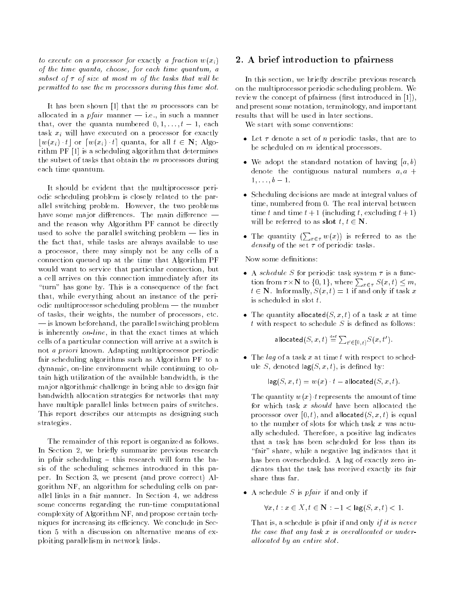to execute on a processor for exactly a fraction  $w(x_i)$ of the time quanta, choose, for each time quantum, a subset of  $\tau$  of size at most m of the tasks that will be permitted to use the <sup>m</sup> processors during this time slot.

It has been shown [1] that the  $m$  processors can be allocated in a *pfair* manner  $-$  i.e., in such a manner that, over the quanta numbered  $0, 1, \ldots, t-1$ , each task  $x_i$  will have executed on a processor for exactly  $|w(x_i) \cdot t|$  or  $[w(x_i) \cdot t]$  quanta, for all  $t \in \mathbb{N}$ ; Algorithm PF [1] is a scheduling algorithm that determines the subset of tasks that obtain the  $m$  processors during each time quantum.

It should be evident that the multiprocessor periodic scheduling problem is closely related to the parallel switching problem. However, the two problems have some major differences. The main difference  $$ and the reason why Algorithm PF cannot be directly used to solve the parallel switching problem  $-$  lies in the fact that, while tasks are always available to use a processor, there may simply not be any cells of a connection queued up at the time that Algorithm PF would want to service that particular connection, but a cell arrives on this connection immediately after its "turn" has gone by. This is a consequence of the fact that, while everything about an instance of the periodic multiprocessor scheduling problem  $-$  the number of tasks, their weights, the number of processors, etc.  $-$  is known beforehand, the parallel switching problem is inherently on-line, in that the exact times at which cells of a particular connection will arrive at a switch is not a priori known. Adapting multiprocessor periodic fair scheduling algorithms such as Algorithm PF to a dynamic, on-line environment while continuing to obtain high utilization of the available bandwidth, is the major algorithmic challenge in being able to design fair bandwidth allocation strategies for networks that may have multiple parallel links between pairs of switches. This report describes our attempts as designing such strategies.

The remainder of this report is organized as follows. In Section 2, we briefly summarize previous research in pfair scheduling  $-$  this research will form the basis of the scheduling schemes introduced in this paper. In Section 3, we present (and prove correct) Algorithm NF, an algorithm for scheduling cells on parallel links in a fair manner. In Section 4, we address some concerns regarding the run-time computational complexity of Algorithm NF, and propose certain techniques for increasing its efficiency. We conclude in Section 5 with a discussion on alternative means of exploiting parallelism in network links.

### 2. A brief introduction to pfairness

In this section, we briefly describe previous research on the multiprocessor periodic scheduling problem. We review the concept of pfairness (first introduced in  $[1]$ ), and present some notation, terminology, and important results that will be used in later sections.

We start with some conventions:

- Let  $\tau$  denote a set of *n* periodic tasks, that are to be scheduled on <sup>m</sup> identical processors.
- We adopt the standard notation of having  $[a, b)$ denote the contiguous natural numbers  $a, a +$ 1; : : :; b 1.
- Scheduling decisions are made at integral values of time, numbered from 0. The real interval between time t and time  $t + 1$  (including t, excluding  $t + 1$ ) will be referred to as slot  $t, t \in \mathbb{N}$ .
- The quantity  $(\sum_{x \in \tau} w(x))$  is referred to as the density of the set  $\tau$  of periodic tasks.

Now some definitions:

- $\bullet$  A schedule S for periodic task system  $\tau$  is a function from  $\tau \times \mathbf{N}$  to  $\{0, 1\}$ , where  $\sum_{x \in \tau} S(x, t) \leq m$ ,  $\mathbf{v} \in \mathbb{R}$  . Informally,  $\mathbf{v}$  (with  $\mathbf{v}$  = 11 with only if tasks  $\mathbf{v}$
- The quantity allocated( $S, x, t$ ) of a task x at time  $t$  with respect to schedule  $S$  is defined as follows:

allocated  $(S, x, t) \stackrel{\scriptscriptstyle\rm def}{=} \sum_{t' \in [0, t)} S(x, t').$ 

 $\bullet$  The *lag* of a task x at time t with respect to schedule S, denoted  $\log(S, x, t)$ , is defined by:

$$
\mathsf{lag}(S, x, t) = w(x) \cdot t - \mathsf{allocated}(S, x, t).
$$

The quantity  $w(x) \cdot t$  represents the amount of time for which task  $x$  should have been allocated the processor over [0, t], and allocated(S, x, t) is equal to the number of slots for which task  $x$  was actually scheduled. Therefore, a positive lag indicates that a task has been scheduled for less than its "fair" share, while a negative lag indicates that it has been overscheduled. A lag of exactly zero indicates that the task has received exactly its fair share thus far.

 $\bullet$  A schedule S is *pfair* if and only if

$$
\forall x, t: x \in X, t \in \mathbf{N} : -1 < \log(S, x, t) < 1.
$$

That is, a schedule is pfair if and only if it is never the case that any task  $x$  is overallocated or underallocated by an entire slot.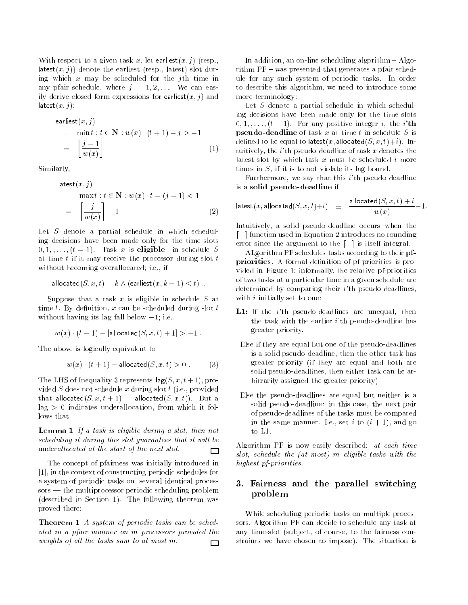With respect to a given task x, let earliest $(x, j)$  (resp., latest $(x, j)$  denote the earliest (resp., latest) slot during which  $x$  may be scheduled for the *j*th time in any pfair schedule, where  $j = 1, 2, \ldots$  We can easily derive closed-form expressions for earliest $(x, j)$  and  $\mathsf{lastest}(x,j)$ :

$$
\begin{aligned}\n\text{earliest}(x, j) &= \min t : t \in \mathbf{N} : w(x) \cdot (t + 1) - j > -1 \\
&= \left\lfloor \frac{j - 1}{w(x)} \right\rfloor \tag{1}\n\end{aligned}
$$

Similarly,

$$
| \text{atest}(x, j) |
$$
  
= max t : t \in \mathbb{N} : w(x) \cdot t - (j - 1) < 1  
= 
$$
\left\lceil \frac{j}{w(x)} \right\rceil - 1
$$
 (2)

Let  $S$  denote a partial schedule in which scheduling decisions have been made only for the time slots  $0$ ;  $1$ ;  $\cdots$ ;  $\vdots$   $1$ . Then  $\omega$  is eligible in schedule  $\omega$ at time  $t$  if it may receive the processor during slot  $t$ without becoming overallocated; i.e., if

$$
\mathsf{allocated}(S,x,t) = k \land (\mathsf{earliest}(x,k+1) \leq t) \quad .
$$

Suppose that a task  $x$  is eligible in schedule  $S$  at time  $t$ . By definition, x can be scheduled during slot  $t$ without having its lag fall below  $-1$ ; i.e.,

$$
w(x) \cdot (t+1) - [ \text{allocated}(S, x, t) + 1 ] > -1
$$
.

The above is logically equivalent to

$$
w(x) \cdot (t+1) - \text{allocated}(S, x, t) > 0 \tag{3}
$$

The LHS of Inequality 3 represents  $\log(S, x, t+1)$ , provided S does not schedule x during slot  $t$  (i.e., provided that allocated $(S, x, t + 1) =$  allocated $(S, x, t)$ . But a  $lag > 0$  indicates underallocation, from which it follows that

Lemma 1 If a task is eligible during a slot, then not scheduling it during this slot guarantees that it will be underallocated at the start of the next slot. 囗

The concept of pfairness was initially introduced in [1], in the context of constructing periodic schedules for a system of periodic tasks on several identical proces $sors$  — the multiprocessor periodic scheduling problem (described in Section 1). The following theorem was proved there:

Theorem 1 A system of periodic tasks can be scheduled in a pfair manner on <sup>m</sup> processors provided the weights of all the tasks sum to at most  $m$ .  $\Box$ 

In addition, an on-line scheduling algorithm  $-$  Algorithm  $PF$  – was presented that generates a pfair schedule for any such system of periodic tasks. In order to describe this algorithm, we need to introduce some more terminology:

Let  $S$  denote a partial schedule in which scheduling decisions have been made only for the time slots  $0, 1, \ldots, (t-1)$ . For any positive integer *i*, the *i*'th **pseudo-deadline** of task  $x$  at time  $t$  in schedule  $S$  is defined to be equal to latest(x, allocated( $S, x, t$ )+i). Intuitively, the  $i$ 'th pseudo-deadline of task  $x$  denotes the latest slot by which task  $x$  must be scheduled  $i$  more times in S, if it is to not violate its lag bound.

Furthermore, we say that this *i*'th pseudo-deadline is a solid pseudo-deadline if

$$
\mathsf{latest}(x, \mathsf{allocated}(S, x, t) + i) \equiv \frac{\mathsf{allocated}(S, x, t) + i}{w(x)} - 1.
$$

Intuitively, a solid pseudo-deadline occurs when the  $\lceil \ \rceil$  function used in Equation 2 introduces no rounding error since the argument to the  $\lceil \cdot \rceil$  is itself integral.

ALgorithm PF schedules tasks according to their pfpriorities. A formal definition of pf-priorities is provided in Figure 1; informally, the relative pf-priorities of two tasks at a particular time in a given schedule are determined by comparing their *i*'th pseudo-deadlines, with  $i$  initially set to one:

- L1: If the *i*'th pseudo-deadlines are unequal, then the task with the earlier  $i$ 'th pseudo-deadline has greater priority.
- Else if they are equal but one of the pseudo-deadlines is a solid pseudo-deadline, then the other task has greater priority (if they are equal and both are solid pseudo-deadlines, then either task can be arbitrarily assigned the greater priority)
- Else the pseudo-deadlines are equal but neither is a solid pseudo-deadline: in this case, the next pair of pseudo-deadlines of the tasks must be compared in the same manner. I.e., set i to  $(i + 1)$ , and go to L1.

Algorithm PF is now easily described: at each time slot, schedule the (at most) <sup>m</sup> eligible tasks with the highest pf-priorities.

# 3. Fairness and the parallel switching problem

While scheduling periodic tasks on multiple processors, Algorithm PF can decide to schedule any task at any time-slot (subject, of course, to the fairness constraints we have chosen to impose). The situation is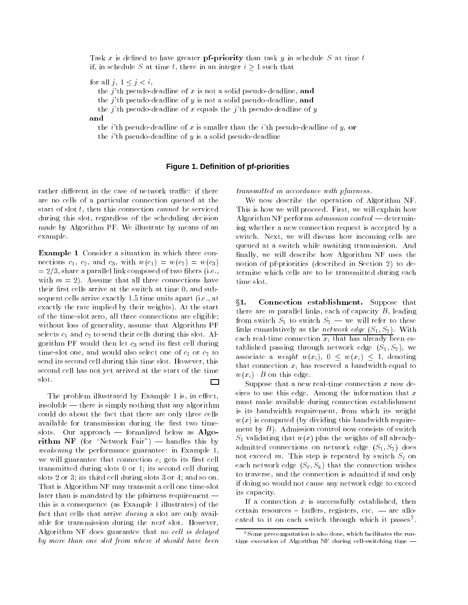Task x is defined to have greater pf-priority than task y in schedule  $S$  at time t if, in schedule S at time t, there in an integer  $i \geq 1$  such that

for all  $j, 1 \leq j < i$ ,

the j'th pseudo-deadline of x is not a solid pseudo-deadline, and

the j'th pseudo-deadline of  $y$  is not a solid pseudo-deadline, and

the j'th pseudo-deadline of x equals the j'th pseudo-deadline of y

and

the *i*'th pseudo-deadline of x is smaller than the *i*'th pseudo-deadline of y, or

the *i*'th pseudo-deadline of  $y$  is a solid pseudo-deadline

### **Figure 1. Definition of pf-priorities**

rather different in the case of network traffic: if there are no cells of a particular connection queued at the start of slot  $t$ , then this connection *cannot* be serviced during this slot, regardless of the scheduling decision made by Algorithm PF. We illustrate by means of an example.

Example 1 Consider a situation in which three connections  $c_1$ ,  $c_2$ , and  $c_3$ , with  $w(c_1) = w(c_2) = w(c_3)$  $= 2/3$ , share a parallel link composed of two fibers (i.e., with  $m = 2$ . Assume that all three connections have their first cells arrive at the switch at time  $0$ , and subsequent cells arrive exactly 1:5 time units apart (i.e., at exactly the rate implied by their weights). At the start of the time-slot zero, all three connections are eligible; without loss of generality, assume that Algorithm PF selects  $c_1$  and  $c_2$  to send their cells during this slot. Algorithm PF would then let  $c_3$  send its first cell during time-slot one, and would also select one of  $c_1$  or  $c_2$  to send its second cell during this time slot. However, this second cell has not yet arrived at the start of the time slot.  $\Box$ 

The problem illustrated by Example 1 is, in effect, insoluble  $-$  there is simply nothing that any algorithm could do about the fact that there are only three cells available for transmission during the first two timeslots. Our approach  $-$  formalized below as Algorithm NF (for "Network Fair") — handles this by weakening the performance guarantee: in Example 1, we will guarantee that connection  $c_i$  gets its first cell transmitted during slots 0 or 1; its second cell during slots 2 or 3; its third cell during slots 3 or 4; and so on. That is Algorithm NF may transmit a cell one time-slot later than is mandated by the pfairness requirement  $$ this is a consequence (as Example 1 illustrates) of the fact that cells that arrive *during* a slot are only available for transmission during the *next* slot. However, Algorithm NF does guarantee that no cell is delayed by more than one slot from where it should have been

transmitted in accordance with pfairness.<br>We now describe the operation of Algorithm NF. This is how we will proceed. First, we will explain how Algorithm NF performs  $admission\ control$  — determining whether a new connection request is accepted by a switch. Next, we will discuss how incoming cells are queued at a switch while awaiting transmission. And finally, we will describe how Algorithm NF uses the notion of pf-priorities (described in Section 2) to determine which cells are to be transmitted during each time slot.

x1. Connection establishment. Suppose that there are  $m$  parallel links, each of capacity  $B$ , leading from switch  $S_1$  to switch  $S_2$  — we will refer to these links cumulatively as the *network edge*  $(S_1, S_2)$ . With each real-time connection  $x_i$  that has already been established passing through network edge  $(S_1, S_2)$ , we associate a weight  $w(x_i)$ ,  $0 \leq w(x_i) \leq 1$ , denoting that connection  $x_i$  has reserved a bandwidth equal to  $w(x_i)$  B on this edge.

Suppose that a new real-time connection  $x$  now desires to use this edge. Among the information that  $x$ must make available during connection establishment is its bandwidth requirement, from which its weight  $w(x)$  is computed (by dividing this bandwidth requirement by  $B$ ). Admission control now consists of switch  $S_1$  validating that  $w(x)$  plus the weights of all alreadyadmitted connections on network edge  $(S_1, S_2)$  does not exceed m. This step is repeated by switch  $S_\ell$  on each network edge  $(S_{\ell}, S_{k})$  that the connection wishes to traverse, and the connection is admitted if and only if doing so would not cause any network edge to exceed its capacity.

If a connection  $x$  is successfully established, then certain resources  $\sim$  buffers, registers, etc.  $\sim$  are allocated to it on each switch through which it passes.

<sup>2</sup>Some precomputation is also done, which facilitates the runtime execution of Algorithm NF during cell-switching time  $-$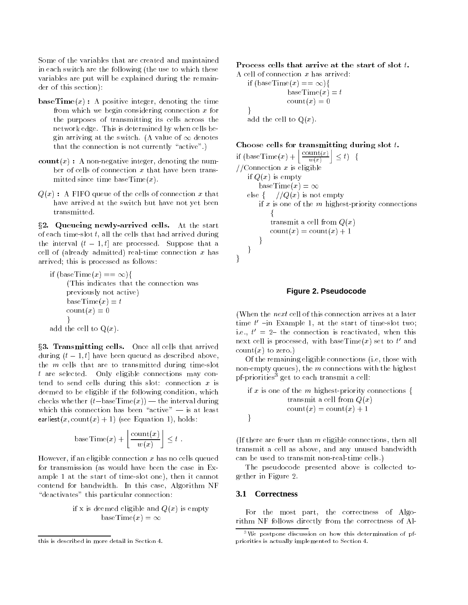Some of the variables that are created and maintained in each switch are the following (the use to which these variables are put will be explained during the remainder of this section):

- $\mathbf{baseTime}(x)$ : A positive integer, denoting the time from which we begin considering connection  $x$  for the purposes of transmitting its cells across the network edge. This is determined by when cells begin arriving at the switch. (A value of  $\infty$  denotes that the connection is not currently "active".)
- count  $(x)$ : A non-negative integer, denoting the number of cells of connection  $x$  that have been transmitted since time base $Time(x)$ .
- $Q(x)$ : A FIFO queue of the cells of connection x that have arrived at the switch but have not yet been transmitted.

§2. Queueing newly-arrived cells. At the start of each time-slot  $t$ , all the cells that had arrived during the interval  $(t - 1, t]$  are processed. Suppose that a cell of (already admitted) real-time connection  $x$  has arrived; this is processed as follows:

if  $(\text{baseTime}(x) == \infty)$ (This indicates that the connection was previously not active) baseTime $(x) = t$  $\text{count}(x)=0$ graduate the contract of the contract of add the cell to  $Q(x)$ .

x3. Transmitting cells. Once all cells that arrived during  $(t - 1, t]$  have been queued as described above, the <sup>m</sup> cells that are to transmitted during time-slot <sup>t</sup> are selected. Only eligible connections may contend to send cells during this slot: connection  $x$  is deemed to be eligible if the following condition, which checks whether  $(t-\text{baseTime}(x))$  — the interval during which this connection has been "active"  $-$  is at least earliest(x, count(x) + 1) (see Equation 1), holds:

baseTime
$$
(x)
$$
 +  $\left\lfloor \frac{\text{count}(x)}{w(x)} \right\rfloor \le t$ .

However, if an eligible connection  $x$  has no cells queued for transmission (as would have been the case in Example 1 at the start of time-slot one), then it cannot contend for bandwidth. In this case, Algorithm NF "deactivates" this particular connection:

> if x is deemed eligible and  $Q(x)$  is empty baseTime $(x) = \infty$

Process cells that arrive at the start of slot t.

A cell of connection  $x$  has arrived: if  $(\text{baseTime}(x) == \infty)$ baseTime $(x) = t$  $\text{count}(x)=0$  $\mathcal{F}$ add the cell to  $Q(x)$ .

Choose cells for transmitting during slot  $t$ .

if  $(\text{baseTime}(x) + \left| \frac{\text{count}(x)}{w(x)} \right| \leq t)$  {  $//$ Connection  $x$  is eligible if  $Q(x)$  is empty baseTime $(x) = \infty$ else for the first fact of the first contract of the first contract of the first contract of the first contract of the first contract of the first contract of the first contract of the first contract of the first contract if  $x$  is one of the  $m$  highest-priority connections f transmit a cell from  $Q(x)$  $\text{count}(x) = \text{count}(x) + 1$  $\mathcal{E}$  $\}$ ļ graduate the contract of the contract of

## **Figure 2. Pseudocode**

(When the next cell of this connection arrives at a later time  $t$  =  $\ln$  example 1, at the start of time-slot two; i.e.,  $\iota$   $\iota$   $\iota$   $\iota$  are connection is reactivated, when this next cell is processed, with base  $\mathrm{Time}(x)$  set to  $t$  and  $count(x)$  to zero.)

Of the remaining eligible connections (i.e, those with non-empty queues), the  $m$  connections with the highest pf-priorities3 get to each transmit a cell:

if x is one of the m highest-priority connections {\n transmit a cell from 
$$
Q(x)
$$
\n
$$
count(x) = count(x) + 1
$$

(If there are fewer than  $m$  eligible connections, then all transmit a cell as above, and any unused bandwidth can be used to transmit non-real-time cells.)

The pseudocode presented above is collected together in Figure 2.

#### **3.1 Correctness**

For the most part, the correctness of Algorithm NF follows directly from the correctness of Al-

this is described in more detail in Section 4.

 $3$ We postpone discussion on how this determination of pfpriorities is actually implemented to Section 4.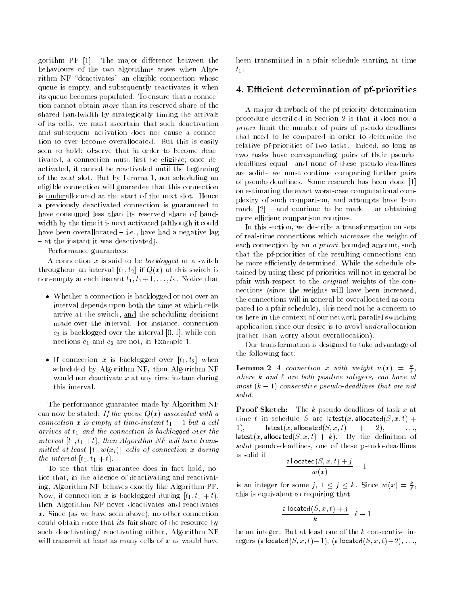gorithm PF [1]. The major difference between the behaviours of the two algorithms arises when Algorithm NF "deactivates" an eligible connection whose queue is empty, and subsequently reactivates it when its queue becomes populated. To ensure that a connection cannot obtain more than its reserved share of the shared bandwidth by strategically timing the arrivals of its cells, we must ascertain that such deactivation and subsequent activation does not cause a connection to ever become overallocated. But this is easily seen to hold: observe that in order to become deactivated, a connection must first be eligible; once deactivated, it cannot be reactivated until the beginning of the next slot. But by Lemma 1, not scheduling an eligible connection will guarantee that this connection is underallocated at the start of the next slot. Hence a previously deactivated connection is guaranteed to have consumed less than its reserved share of bandwidth by the time it is next activated (although it could have been overallocated  $-$  i.e., have had a negative lag { at the instant it was deactivated).

Performance guarantees:

A connection  $x$  is said to be backlogged at a switch throughout an interval  $[t_1, t_2]$  if  $Q(x)$  at this switch is non-empty at each instant  $t_1, t_1 + 1, \ldots, t_2$ . Notice that

- Whether a connection is backlogged or not over an interval depends upon both the time at which cells arrive at the switch, and the scheduling decisions made over the interval. For instance, connection  $c_3$  is backlogged over the interval [0, 1], while connections  $c_1$  and  $c_2$  are not, in Example 1.
- If connection x is backlogged over  $[t_1, t_2]$  when scheduled by Algorithm NF, then Algorithm NF would not deactivate  $x$  at any time instant during this interval.

The performance guarantee made by Algorithm NF can now be stated: If the queue  $Q(x)$  associated with a connection x is empty at time-instant  $t_1 - 1$  but a cell arrives at  $t_1$  and the connection is backlogged over the interval  $[t_1, t_1 + t)$ , then Algorithm NF will have transmitted at least  $[t \cdot w(x_i)]$  cells of connection x during the interval  $[t_1, t_1 + t]$ .

To see that this guarantee does in fact hold, notice that, in the absence of deactivating and reactivating, Algorithm NF behaves exactly like Algorithm PF. Now, if connection x is backlogged during  $[t_1, t_1 + t)$ , then Algorithm NF never deactivates and reactivates x. Since (as we have seen above), no other connection could obtain more that its fair share of the resource by such deactivating/ reactivating either, Algorithm NF will transmit at least as many cells of  $x$  as would have

been transmitted in a pfair schedule starting at time  $t_1$ .

# 4. Efficient determination of pf-priorities

A major drawback of the pf-priority determination procedure described in Section 2 is that it does not a priori limit the number of pairs of pseudo-deadlines that need to be compared in order to determine the relative pf-priorities of two tasks. Indeed, so long as two tasks have corresponding pairs of their pseudodeadlines equal -and none of these pseudo-deadlines are solid- we must continue comparing further pairs of pseudo-deadlines. Some research has been done [1] on estimating the exact worst-case computational complexity of such comparison, and attempts have been made  $[2]$  - and continue to be made - at obtaining more efficient comparison routines.

In this section, we describe a transformation on sets of real-time connections which increases the weight of each connection by an *a priori* bounded amount, such that the pf-priorities of the resulting connections can be more efficiently determined. While the schedule obtained by using these pf-priorities will not in general be pfair with respect to the original weights of the connections (since the weights will have been increased, the connections will in general be overallocated as compared to a pfair schedule), this need not be a concern to us here in the context of our network parallel switching application since our desire is to avoid *underallocation* (rather than worry about overallocation).

Our transformation is designed to take advantage of the following fact:

**Lemma 2** A connection x with weight  $w(x) = \frac{k}{x}$ where it are a are both positive integers, can have at most (k 1) consecutive pseudo-dead lines that are not solid.

**Proof Sketch:** The k pseudo-deadlines of task x at time t in schedule S are latest(x, allocated(S, x, t) + 1), latest(x, allocated( $S, x, t$ ) + 2), latest(x, allocated(S, x, t) + k). By the definition of solid pseudo-deadlines, one of these pseudo-deadlines is solid if

$$
\frac{\mathsf{allocated}(S,x,t)+j}{w(x)}-1
$$

is an integer for some  $j, 1 \leq j \leq k$ . Since  $w(x) = \frac{1}{k}$ , this is equivalent to requiring that

$$
\frac{\mathsf{allowed}(S,x,t)+j}{k}\cdot \ell - 1
$$

be an integer. But at least one of the  $k$  consecutive integers (allocated( $S, x, t$ )+1), (allocated( $S, x, t$ )+2),  $\ldots$ ,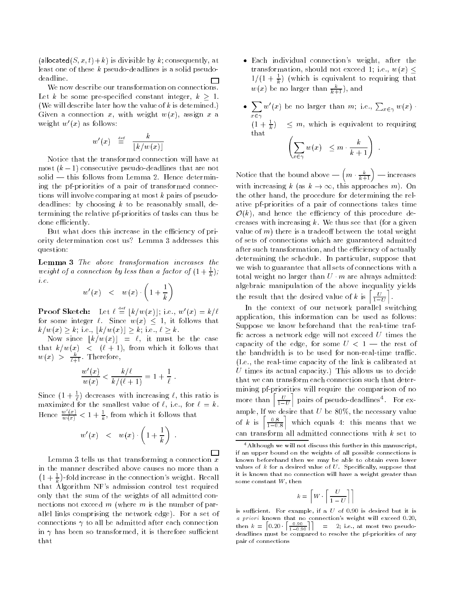(allocated(S, x, t)+k) is divisible by k; consequently, at least one of these <sup>k</sup> pseudo-deadlines is a solid pseudodeadline. П

We now describe our transformation on connections. Let k be some pre-specified constant integer,  $k \geq 1$ . (We will describe later how the value of  $k$  is detemined.) Given a connection x, with weight  $w(x)$ , assign x a weight  $w'(x)$  as follows:

$$
w'(x) \quad \mathop{=}\limits^{\rm def}\quad \frac{k}{\lfloor k/w(x)\rfloor}\quad
$$

Notice that the transformed connection will have at most  $(k-1)$  consecutive pseudo-deadlines that are not  $solid$  — this follows from Lemma 2. Hence determining the pf-priorities of a pair of transformed connections will involve comparing at most <sup>k</sup> pairs of pseudodeadlines: by choosing  $k$  to be reasonably small, determining the relative pf-priorities of tasks can thus be done efficiently.

But what does this increase in the efficiency of priority determination cost us? Lemma 3 addresses this question:

Lemma 3 The above transformation increases the weight of a connection by less than a factor of  $(1 + \frac{1}{k})$ ; i.e.

$$
w'(x) \quad < \quad w(x) \cdot \left(1 + \frac{1}{k}\right)
$$

**Proof Sketch:** Let  $\ell \equiv |k/w(x)|$ ; i.e.,  $w'(x) = k/\ell$ for some integer  $\ell$ . Since  $w(x) \leq 1$ , it follows that ka  $k$  in the wave with  $k$  in the wave  $k$  in the wave was also in the wave was  $k$ 

Now since  $\lfloor k/w(x)\rfloor = \ell$ , it must be the case that  $k/w(x)$  <  $(\ell + 1)$ , from which it follows that  $w(x) > \frac{1}{\ell+1}$ . Inerefore,

$$
\frac{w'(x)}{w(x)} < \frac{k/\ell}{k/(\ell+1)} = 1 + \frac{1}{\ell} \; .
$$

Since  $(1 + \frac{1}{\ell})$  decreases with increasing  $\ell$ , this ratio is maximized for the smallest value of  $\ell$ , i.e., for  $\ell = k$ . Hence  $\frac{w(x)}{w(x)} < 1 + \frac{1}{k}$ , from which it follows that

$$
w'(x) \quad < \quad w(x) \cdot \left(1 + \frac{1}{k}\right) \quad .
$$

:

П Lemma 3 tells us that transforming a connection  $x$ in the manner described above causes no more than a  $\left(1+\frac{1}{k}\right)$ -fold increase in the connection's weight. Recall that Algorithm NF's admission control test required only that the sum of the weights of all admitted connections not exceed  $m$  (where  $m$  is the number of parallel links comprising the network edge). For a set of connections  $\gamma$  to all be admitted after each connection in  $\gamma$  has been so transformed, it is therefore sufficient that

- Each individual connection's weight, after the transformation, should not exceed 1; i.e.,  $w(x) \leq$  $1/(1 + \frac{1}{2})$  (which is equivalent to requiring that  $w(x)$  be no larger than  $\frac{k}{k+1}$ , and
- $\sum_{x \in \gamma} w'(x)$  be no larger than m; i.e.,  $\sum_{x \in \gamma} w(x)$ .  $(1 + \frac{1}{k})$   $\leq m$ , which is equivalent to requiring that  $\sqrt{2}$  $k \lambda$

$$
\sum_{x \in \gamma} w(x) \leq m \cdot \frac{k}{k+1}
$$

Notice that the bound above  $\left(m \cdot \frac{k}{k+1}\right)$  — increases with increasing  $k$  (as  $k \to \infty$ , this approaches m). On the other hand, the procedure for determining the relative pf-priorities of a pair of connections takes time  $\mathcal{O}(k)$ , and hence the efficiency of this procedure decreases with increasing  $k$ . We thus see that (for a given value of  $m$ ) there is a tradeoff between the total weight of sets of connections which are guaranteed admitted after such transformation, and the efficiency of actually determining the schedule. In particular, suppose that we wish to guarantee that all sets of connections with a total weight no larger than  $U \cdot m$  are always admitted: algebraic manipulation of the above inequality yields the result that the desired value of k is  $\left[\frac{U}{1-U}\right]$ .

1U

In the context of our network parallel switching application, this information can be used as follows: Suppose we know beforehand that the real-time traf fic across a network edge will not exceed  $U$  times the capacity of the edge, for some  $U < 1$  — the rest of the bandwidth is to be used for non-real-time traffic. (I.e., the real-time capacity of the link is calibrated at U times its actual capacity.) This allows us to decide that we can transform each connection such that determining pf-priorities will require the comparison of no more than  $\left[\frac{U}{1-U}\right]$  pairs of pseudo-deadlines<sup>4</sup>. For ex-1U ample, If  $\left[\frac{0.8}{1-0.8}\right]$  which equals 4: this means that we can transform all admitted connections with  $k$  set to

$$
k = \left\lceil W \cdot \left\lceil \frac{U}{1-U} \right\rceil \right\rceil
$$

is sufficient. For example, if a  $U$  of 0.90 is desired but it is a priori known that no connection's weight will exceed 0:20, then  $k = \left[0.20 \cdot \left[\frac{0.90}{1 - 0.90}\right]\right] = 2$ ; i.e., at most two pseudodeadlines must be compared to resolve the pf-priorities of any pair of connections

<sup>4</sup>Although we will not discuss this further in this manuscript, if an upper bound on the weights of all possible connections is known beforehand then we may be able to obtain even lower values of  $k$  for a desired value of  $U$ . Specifically, suppose that it is known that no connection will have a weight greater than some constant  $W$ , then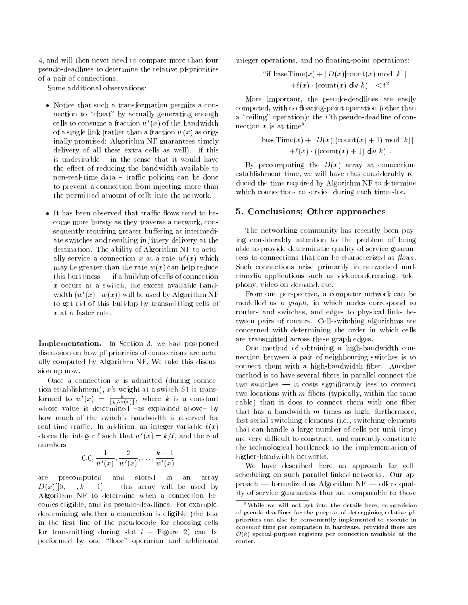4, and will then never need to compare more than four pseudo-deadlines to determine the relative pf-priorities of a pair of connections.

Some additional observations:

- Notice that such a transformation permits a connection to "cheat" by actually generating enough cells to consume a fraction  $w'(x)$  of the bandwidth of a single link (rather than a fraction  $w(x)$  as originally promised: Algorithm NF guarantees timely delivery of all these extra cells as well). If this is undesirable  $-$  in the sense that it would have the effect of reducing the bandwidth available to non-real-time data  $-$  traffic policing can be done to prevent a connection from injecting more than the permitted amount of cells into the network.
- $\bullet$  It has been observed that traffic flows tend to become more bursty as they traverse a network, consequently requiring greater buffering at intermediate switches and resulting in jittery delivery at the destination. The ability of Algorithm NF to actually service a connection x at a rate  $w'(x)$  which may be greater than the rate  $w(x)$  can help reduce this burstiness  $-$  if a buildup of cells of connection <sup>x</sup> occurs at a switch, the excess available bandwidth  $(w'(x)-w(x))$  will be used by Algorithm NF to get rid of this buildup by transmitting cells of  $x$  at a faster rate.

Implementation. In Section 3, we had postponed discussion on how pf-priorities of connections are actually computed by Algorithm NF. We take this discussion up now.

Once a connection  $x$  is admitted (during connection establishment),  $x$ 's weight at a switch  $S1$  is transformed to  $w'(x) = \frac{1}{\lceil k/w(x) \rceil}$ , where k is a constant whose value is determined  $\overline{\phantom{a}}$  as explained above- by how much of the switch's bandwidth is reserved for real-time traffic. In addition, an integer variable  $\ell(x)$ stores the integer  $\ell$  such that  $w'(x) = k/\ell$ , and the real numbers

$$
0.0, \frac{1}{w'(x)}, \frac{2}{w'(x)}, \ldots, \frac{k-1}{w'(x)}
$$

precomputed and stored in an array are  $D$  (will be used by the used by the use  $\mathcal{L}$ Algorithm NF to determine when a connection becomes eligible, and its pseudo-deadlines. For example, determining whether a connection is eligible (the test in the first line of the pseudocode for choosing cells for transmitting during slot  $t$  - Figure 2) can be performed by one "floor" operation and additional

integer operations, and no floating-point operations:

"if baseTime
$$
(x)
$$
 +  $\lfloor D(x) \lfloor \text{count}(x) \mod k \rfloor$   
+ $\ell(x) \cdot (\text{count}(x) \text{ div } k) \leq t$ "

More important, the pseudo-deadlines are easily computed, with no floating-point operation (other than a "ceiling" operation): the *i*'th pseudo-deadline of connection  $x$  is at time<sup>5</sup>

baseTime
$$
(x)
$$
 +  $[D(x)[\text{(count}(x) + 1) \text{ mod } k]]$   
+ $\ell(x) \cdot ((\text{count}(x) + 1) \text{ div } k)$ .

By precomputing the  $D(x)$  array at connectionestablishment time, we will have thus considerably reduced the time required by Algorithm NF to determine which connections to service during each time-slot.

#### 5. Conclusions; Other approaches

The networking community has recently been paying considerably attention to the problem of being able to provide determinstic quality of service guarantees to connections that can be characterized as  $flows$ . Such connections arise primarily in networked multimedia applications such as videoconferencing, telephony, video-on-demand, etc.

From one perspective, a computer network can be modelled as a graph, in which nodes correspond to routers and switches, and edges to physical links between pairs of routers. Cell-switching algorithms are concerned with determining the order in which cells are transmitted across these graph edges.

One method of obtaining a high-bandwidth connection between a pair of neighbouring switches is to connect them with a high-bandwidth fiber. Another method is to have several fibers in parallel connect the two switches  $-$  it costs significantly less to connect two locations with  $m$  fibers (typically, within the same cable) than it does to connect them with one fiber that has a bandwidth  $m$  times as high; furthermore, fast serial switching elements (i.e., switching elements that can handle a large number of cells per unit time) are very difficult to construct, and currently constitute the technological bottleneck to the implementation of higher-bandwidth networks.

We have described here an approach for cellscheduling on such parallel-linked networks. Our approach  $-$  formalized as Algorithm NF  $-$  offers quality of service guarantees that are comparable to those

<sup>5</sup>While we will not get into the details here, comparision of pseudo-deadlines for the purpose of determining relative pfpriorities can also be conveniently implemented to execute in constant time per comparison in hardware, provided there are  $\mathcal{O}(k)$  special-purpose registers per connection available at the